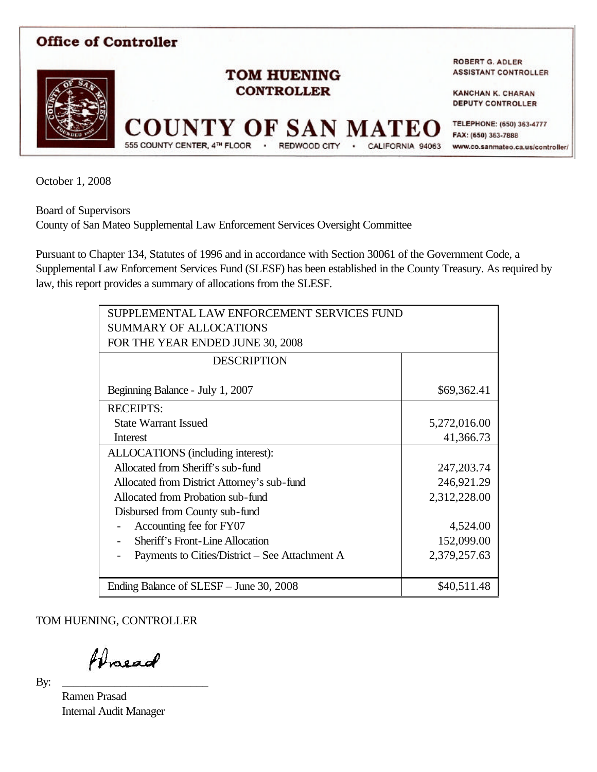

October 1, 2008

Board of Supervisors

County of San Mateo Supplemental Law Enforcement Services Oversight Committee

Pursuant to Chapter 134, Statutes of 1996 and in accordance with Section 30061 of the Government Code, a Supplemental Law Enforcement Services Fund (SLESF) has been established in the County Treasury. As required by law, this report provides a summary of allocations from the SLESF.

| SUPPLEMENTAL LAW ENFORCEMENT SERVICES FUND     |              |  |
|------------------------------------------------|--------------|--|
| <b>SUMMARY OF ALLOCATIONS</b>                  |              |  |
| FOR THE YEAR ENDED JUNE 30, 2008               |              |  |
| <b>DESCRIPTION</b>                             |              |  |
|                                                |              |  |
| Beginning Balance - July 1, 2007               | \$69,362.41  |  |
| <b>RECEIPTS:</b>                               |              |  |
| <b>State Warrant Issued</b>                    | 5,272,016.00 |  |
| Interest                                       | 41,366.73    |  |
| ALLOCATIONS (including interest):              |              |  |
| Allocated from Sheriff's sub-fund              | 247, 203. 74 |  |
| Allocated from District Attorney's sub-fund    | 246,921.29   |  |
| Allocated from Probation sub-fund              | 2,312,228.00 |  |
| Disbursed from County sub-fund                 |              |  |
| Accounting fee for FY07                        | 4,524.00     |  |
| <b>Sheriff's Front-Line Allocation</b>         | 152,099.00   |  |
| Payments to Cities/District – See Attachment A | 2,379,257.63 |  |
|                                                |              |  |
| Ending Balance of SLESF – June 30, 2008        | \$40,511.48  |  |

TOM HUENING, CONTROLLER

Proead

By: \_\_\_\_\_\_\_\_\_\_\_\_\_\_\_\_\_\_\_\_\_\_\_\_\_

Ramen Prasad Internal Audit Manager